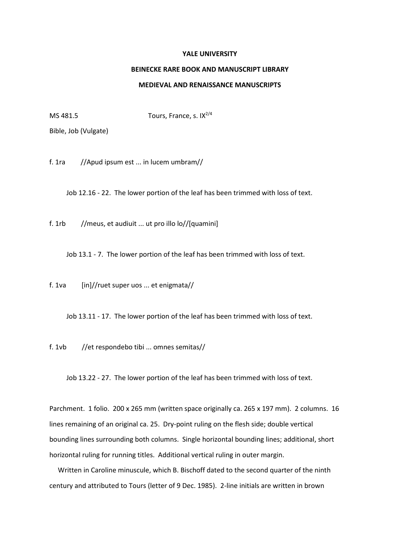## **YALE UNIVERSITY**

## **BEINECKE RARE BOOK AND MANUSCRIPT LIBRARY**

## **MEDIEVAL AND RENAISSANCE MANUSCRIPTS**

MS 481.5 Tours, France, s.  $IX^{2/4}$ 

Bible, Job (Vulgate)

f. 1ra //Apud ipsum est ... in lucem umbram//

Job 12.16 - 22. The lower portion of the leaf has been trimmed with loss of text.

f. 1rb //meus, et audiuit ... ut pro illo lo//[quamini]

Job 13.1 - 7. The lower portion of the leaf has been trimmed with loss of text.

f. 1va [in]//ruet super uos ... et enigmata//

Job 13.11 - 17. The lower portion of the leaf has been trimmed with loss of text.

f. 1vb //et respondebo tibi ... omnes semitas//

Job 13.22 - 27. The lower portion of the leaf has been trimmed with loss of text.

Parchment. 1 folio. 200 x 265 mm (written space originally ca. 265 x 197 mm). 2 columns. 16 lines remaining of an original ca. 25. Dry-point ruling on the flesh side; double vertical bounding lines surrounding both columns. Single horizontal bounding lines; additional, short horizontal ruling for running titles. Additional vertical ruling in outer margin.

 Written in Caroline minuscule, which B. Bischoff dated to the second quarter of the ninth century and attributed to Tours (letter of 9 Dec. 1985). 2-line initials are written in brown